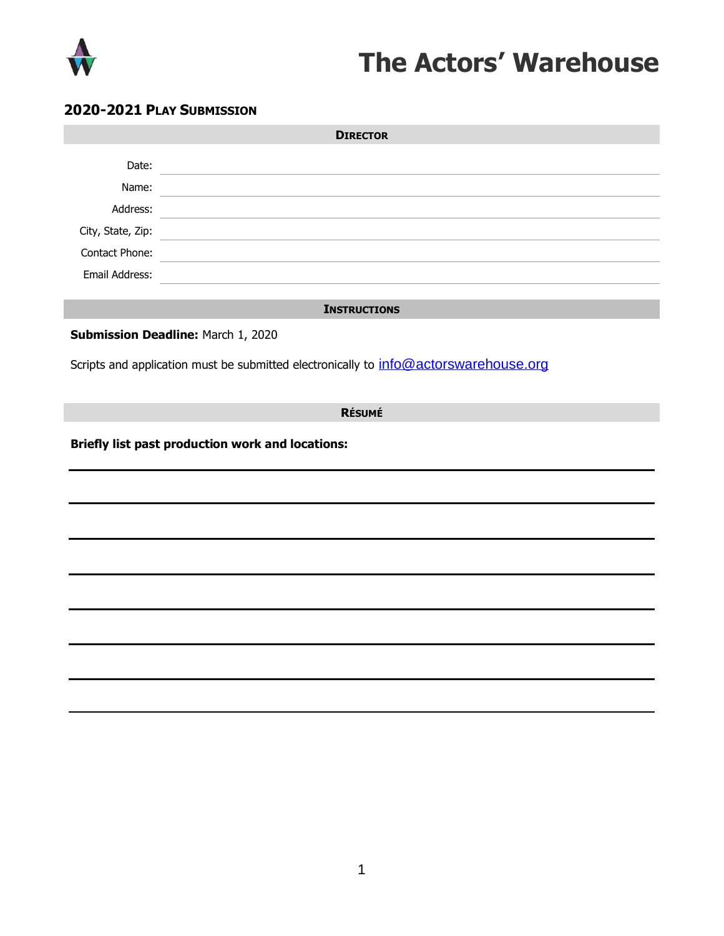

## **The Actors' Warehouse**

## **2020-2021 PLAY SUBMISSION**

| <b>DIRECTOR</b>                                                                           |
|-------------------------------------------------------------------------------------------|
| the control of the control of the control of the control of the control of the control of |
|                                                                                           |
|                                                                                           |
| <u> 1989 - John Stein, Amerikaansk politiker (</u>                                        |
|                                                                                           |
|                                                                                           |
| <b>INSTRUCTIONS</b>                                                                       |
|                                                                                           |
| Submission Deadline: March 1, 2020                                                        |
| Scripts and application must be submitted electronically to info@actorswarehouse.org      |
|                                                                                           |
| <b>RÉSUMÉ</b>                                                                             |
| Briefly list past production work and locations:                                          |
|                                                                                           |
|                                                                                           |
|                                                                                           |
|                                                                                           |
|                                                                                           |
|                                                                                           |
|                                                                                           |
|                                                                                           |
|                                                                                           |
|                                                                                           |
|                                                                                           |
|                                                                                           |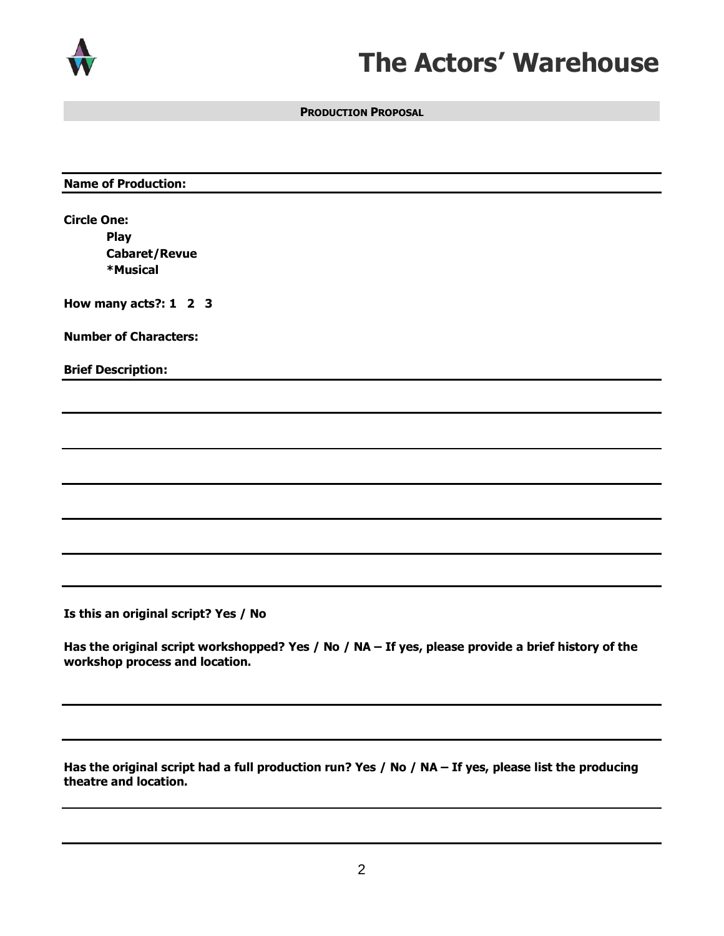

## **The Actors' Warehouse**

**PRODUCTION PROPOSAL**

| <b>Name of Production:</b> |
|----------------------------|
|----------------------------|

**Circle One: Play Cabaret/Revue \*Musical** 

**How many acts?: 1 2 3**

**Number of Characters:** 

**Brief Description:**

**Is this an original script? Yes / No**

**Has the original script workshopped? Yes / No / NA – If yes, please provide a brief history of the workshop process and location.** 

**Has the original script had a full production run? Yes / No / NA – If yes, please list the producing theatre and location.**